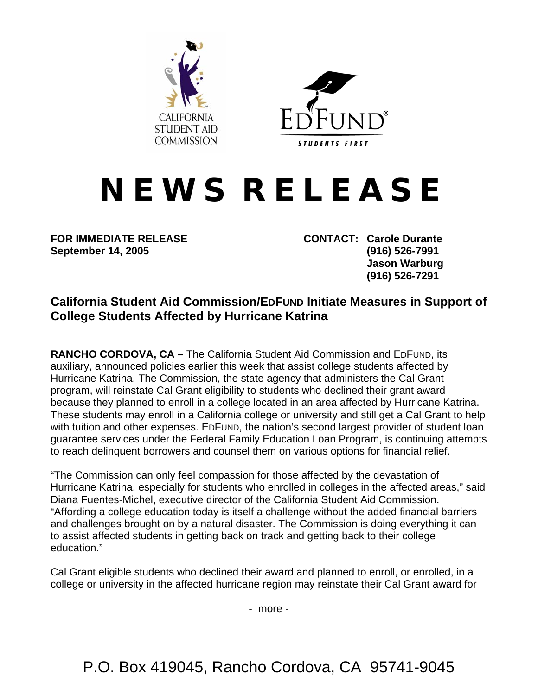



## **N E W S R E L E A S E**

**September 14, 2005 (916) 526-7991** 

**FOR IMMEDIATE RELEASE CONTACT: Carole Durante Jason Warburg (916) 526-7291** 

## **California Student Aid Commission/EDFUND Initiate Measures in Support of College Students Affected by Hurricane Katrina**

**RANCHO CORDOVA, CA –** The California Student Aid Commission and EDFUND, its auxiliary, announced policies earlier this week that assist college students affected by Hurricane Katrina. The Commission, the state agency that administers the Cal Grant program, will reinstate Cal Grant eligibility to students who declined their grant award because they planned to enroll in a college located in an area affected by Hurricane Katrina. These students may enroll in a California college or university and still get a Cal Grant to help with tuition and other expenses. EDFUND, the nation's second largest provider of student loan guarantee services under the Federal Family Education Loan Program, is continuing attempts to reach delinquent borrowers and counsel them on various options for financial relief.

"The Commission can only feel compassion for those affected by the devastation of Hurricane Katrina, especially for students who enrolled in colleges in the affected areas," said Diana Fuentes-Michel, executive director of the California Student Aid Commission. "Affording a college education today is itself a challenge without the added financial barriers and challenges brought on by a natural disaster. The Commission is doing everything it can to assist affected students in getting back on track and getting back to their college education."

Cal Grant eligible students who declined their award and planned to enroll, or enrolled, in a college or university in the affected hurricane region may reinstate their Cal Grant award for

- more -

P.O. Box 419045, Rancho Cordova, CA 95741-9045